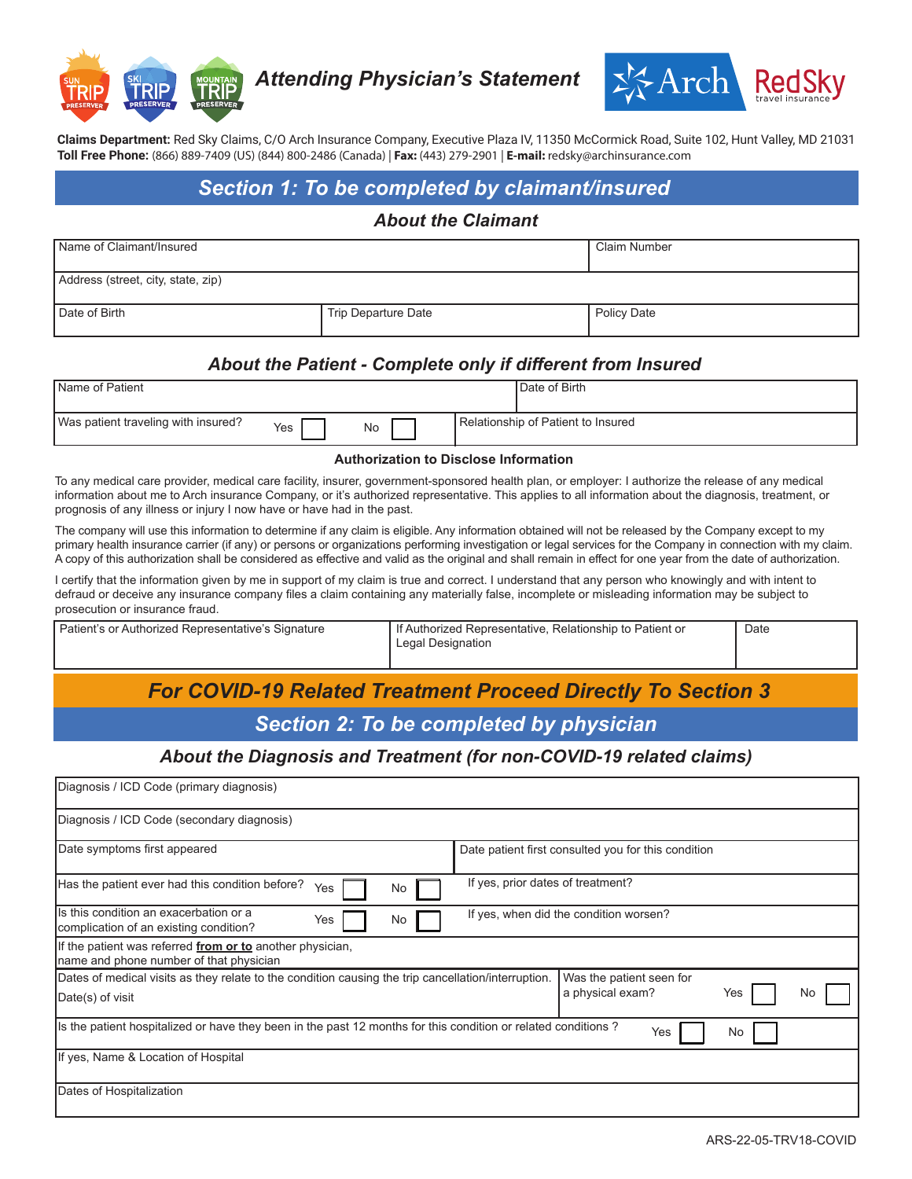

*Attending Physician's Statement*



**Claims Department:** Red Sky Claims, C/O Arch Insurance Company, Executive Plaza IV, 11350 McCormick Road, Suite 102, Hunt Valley, MD 21031 **Toll Free Phone:** (866) 889-7409 (US) (844) 800-2486 (Canada) | **Fax:** (443) 279-2901 | **E-mail:** redsky@archinsurance.com

## *Section 1: To be completed by claimant/insured*

#### *About the Claimant*

| Name of Claimant/Insured           |                     | Claim Number |
|------------------------------------|---------------------|--------------|
| Address (street, city, state, zip) |                     |              |
| Date of Birth                      | Trip Departure Date | Policy Date  |

### *About the Patient - Complete only if different from Insured*

| <b>Name of Patient</b>              |     |    | Date of Birth                      |
|-------------------------------------|-----|----|------------------------------------|
| Was patient traveling with insured? | Yes | No | Relationship of Patient to Insured |

#### **Authorization to Disclose Information**

To any medical care provider, medical care facility, insurer, government-sponsored health plan, or employer: I authorize the release of any medical information about me to Arch insurance Company, or it's authorized representative. This applies to all information about the diagnosis, treatment, or prognosis of any illness or injury I now have or have had in the past.

The company will use this information to determine if any claim is eligible. Any information obtained will not be released by the Company except to my primary health insurance carrier (if any) or persons or organizations performing investigation or legal services for the Company in connection with my claim. A copy of this authorization shall be considered as effective and valid as the original and shall remain in effect for one year from the date of authorization.

I certify that the information given by me in support of my claim is true and correct. I understand that any person who knowingly and with intent to defraud or deceive any insurance company files a claim containing any materially false, incomplete or misleading information may be subject to prosecution or insurance fraud.

| Patient's or Authorized Representative's Signature | If Authorized Representative, Relationship to Patient or | Date |
|----------------------------------------------------|----------------------------------------------------------|------|
|                                                    | Legal Designation                                        |      |
|                                                    |                                                          |      |

# *For COVID-19 Related Treatment Proceed Directly To Section 3*

### *Section 2: To be completed by physician*

### *About the Diagnosis and Treatment (for non-COVID-19 related claims)*

| Diagnosis / ICD Code (primary diagnosis)                                                                                |                                                           |  |
|-------------------------------------------------------------------------------------------------------------------------|-----------------------------------------------------------|--|
| Diagnosis / ICD Code (secondary diagnosis)                                                                              |                                                           |  |
| Date symptoms first appeared                                                                                            | Date patient first consulted you for this condition       |  |
| If yes, prior dates of treatment?<br>Has the patient ever had this condition before?<br>Yes<br>No                       |                                                           |  |
| Is this condition an exacerbation or a<br>Yes<br>No<br>complication of an existing condition?                           | If yes, when did the condition worsen?                    |  |
| If the patient was referred from or to another physician,<br>name and phone number of that physician                    |                                                           |  |
| Dates of medical visits as they relate to the condition causing the trip cancellation/interruption.<br>Date(s) of visit | Was the patient seen for<br>a physical exam?<br>Yes<br>No |  |
| Is the patient hospitalized or have they been in the past 12 months for this condition or related conditions?           | No<br>Yes                                                 |  |
| If yes, Name & Location of Hospital                                                                                     |                                                           |  |
| Dates of Hospitalization                                                                                                |                                                           |  |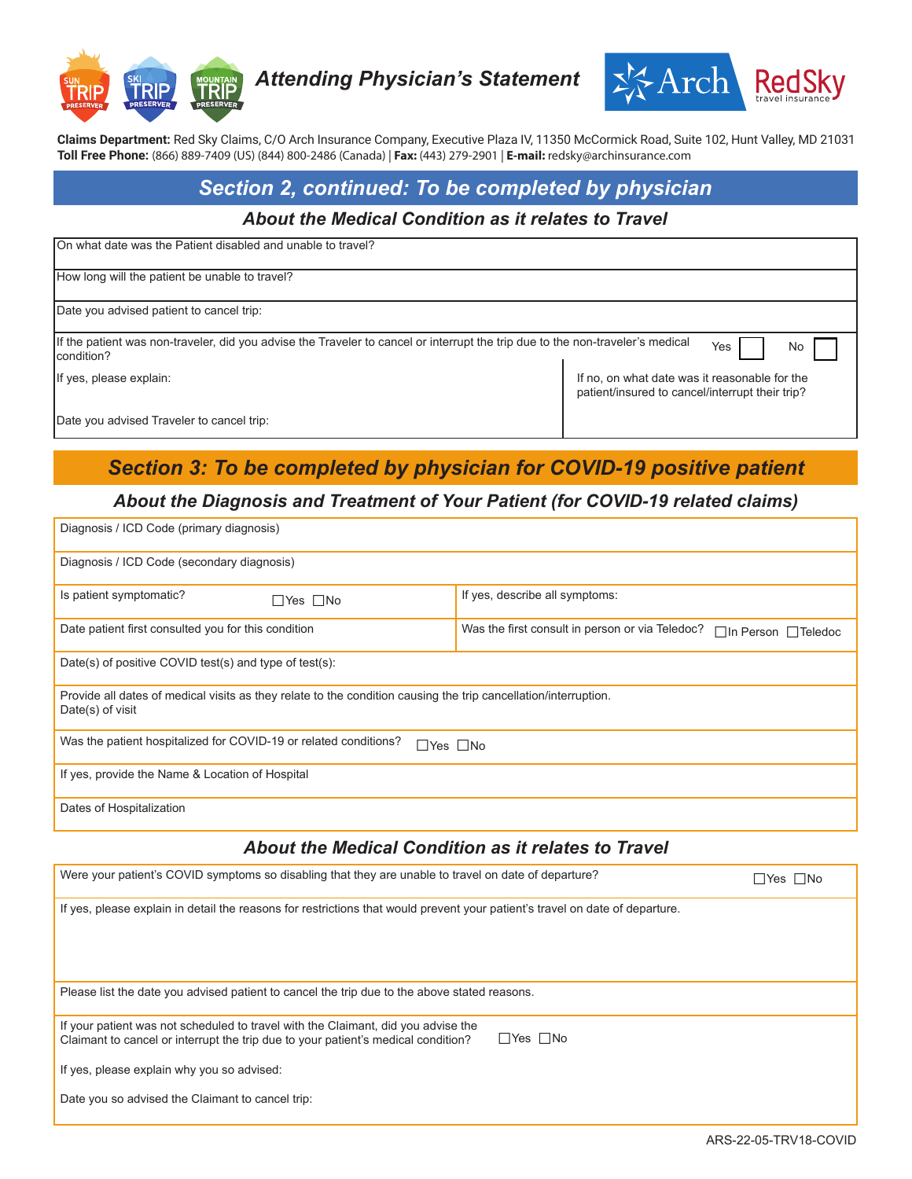

*Attending Physician's Statement*



**Claims Department:** Red Sky Claims, C/O Arch Insurance Company, Executive Plaza IV, 11350 McCormick Road, Suite 102, Hunt Valley, MD 21031 **Toll Free Phone:** (866) 889-7409 (US) (844) 800-2486 (Canada) | **Fax:** (443) 279-2901 | **E-mail:** redsky@archinsurance.com

# *Section 2, continued: To be completed by physician*

#### *About the Medical Condition as it relates to Travel*

| IOn what date was the Patient disabled and unable to travel?                                                                                               |                                                                                                  |  |
|------------------------------------------------------------------------------------------------------------------------------------------------------------|--------------------------------------------------------------------------------------------------|--|
| How long will the patient be unable to travel?                                                                                                             |                                                                                                  |  |
| Date you advised patient to cancel trip:                                                                                                                   |                                                                                                  |  |
| If the patient was non-traveler, did you advise the Traveler to cancel or interrupt the trip due to the non-traveler's medical<br>Yes<br>No<br>Icondition? |                                                                                                  |  |
| If yes, please explain:                                                                                                                                    | If no, on what date was it reasonable for the<br>patient/insured to cancel/interrupt their trip? |  |
| Date you advised Traveler to cancel trip:                                                                                                                  |                                                                                                  |  |

# *Section 3: To be completed by physician for COVID-19 positive patient*

### *About the Diagnosis and Treatment of Your Patient (for COVID-19 related claims)*

| Diagnosis / ICD Code (primary diagnosis)                                                                                            |                                                                                    |  |
|-------------------------------------------------------------------------------------------------------------------------------------|------------------------------------------------------------------------------------|--|
| Diagnosis / ICD Code (secondary diagnosis)                                                                                          |                                                                                    |  |
| Is patient symptomatic?<br>$\Box$ Yes $\Box$ No                                                                                     | If yes, describe all symptoms:                                                     |  |
| Date patient first consulted you for this condition                                                                                 | Was the first consult in person or via Teledoc?<br>$\Box$ In Person $\Box$ Teledoc |  |
| Date(s) of positive COVID test(s) and type of test(s):                                                                              |                                                                                    |  |
| Provide all dates of medical visits as they relate to the condition causing the trip cancellation/interruption.<br>Date(s) of visit |                                                                                    |  |
| Was the patient hospitalized for COVID-19 or related conditions?<br>$\Box$ Yes $\Box$ No                                            |                                                                                    |  |
| If yes, provide the Name & Location of Hospital                                                                                     |                                                                                    |  |
| Dates of Hospitalization                                                                                                            |                                                                                    |  |
|                                                                                                                                     |                                                                                    |  |

### *About the Medical Condition as it relates to Travel*

| Were your patient's COVID symptoms so disabling that they are unable to travel on date of departure?                                                                                           | Yes    No |
|------------------------------------------------------------------------------------------------------------------------------------------------------------------------------------------------|-----------|
| If yes, please explain in detail the reasons for restrictions that would prevent your patient's travel on date of departure.                                                                   |           |
| Please list the date you advised patient to cancel the trip due to the above stated reasons.                                                                                                   |           |
| If your patient was not scheduled to travel with the Claimant, did you advise the<br>$\Box$ Yes $\Box$ No<br>Claimant to cancel or interrupt the trip due to your patient's medical condition? |           |
| If yes, please explain why you so advised:                                                                                                                                                     |           |
| Date you so advised the Claimant to cancel trip:                                                                                                                                               |           |